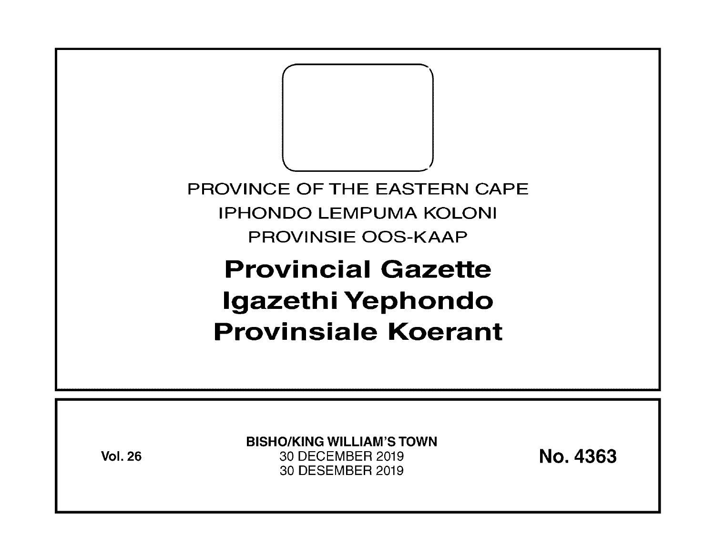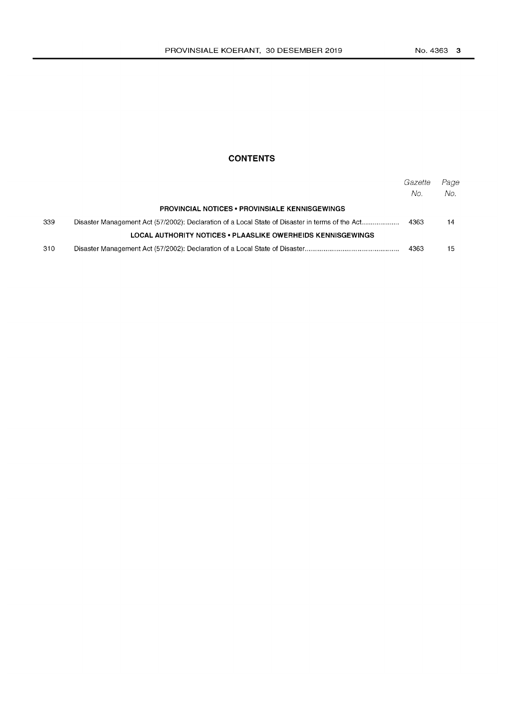## **CONTENTS**

|     |                                                                                                 | Gazette<br>No. | Page<br>No. |
|-----|-------------------------------------------------------------------------------------------------|----------------|-------------|
|     | <b>PROVINCIAL NOTICES • PROVINSIALE KENNISGEWINGS</b>                                           |                |             |
| 339 | Disaster Management Act (57/2002): Declaration of a Local State of Disaster in terms of the Act | 4363           | 14          |
|     | LOCAL AUTHORITY NOTICES • PLAASLIKE OWERHEIDS KENNISGEWINGS                                     |                |             |
| 310 |                                                                                                 | 4363           | 15          |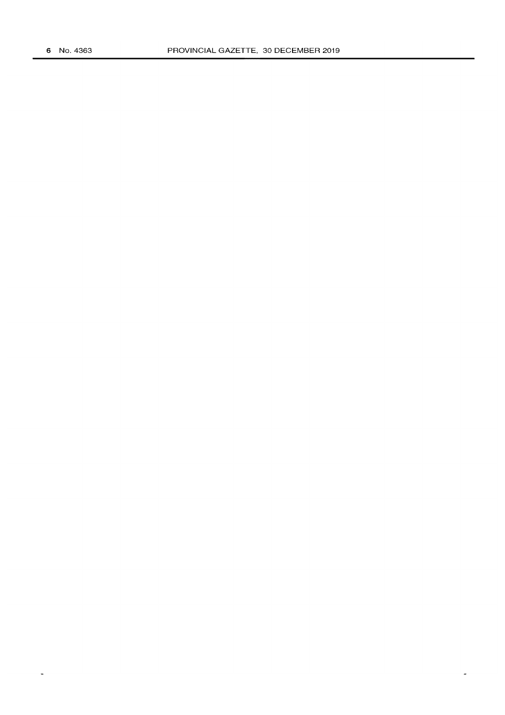$\overline{a}$ 

 $\tilde{\phantom{a}}$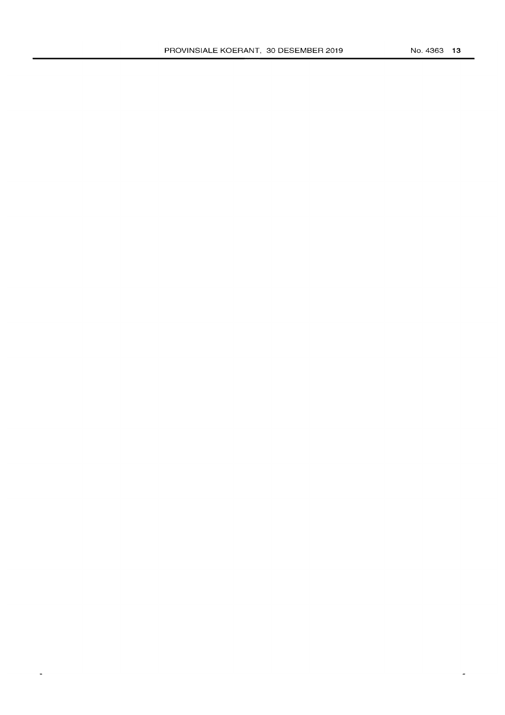$\ddot{\phantom{a}}$ 

 $\tilde{\phantom{a}}$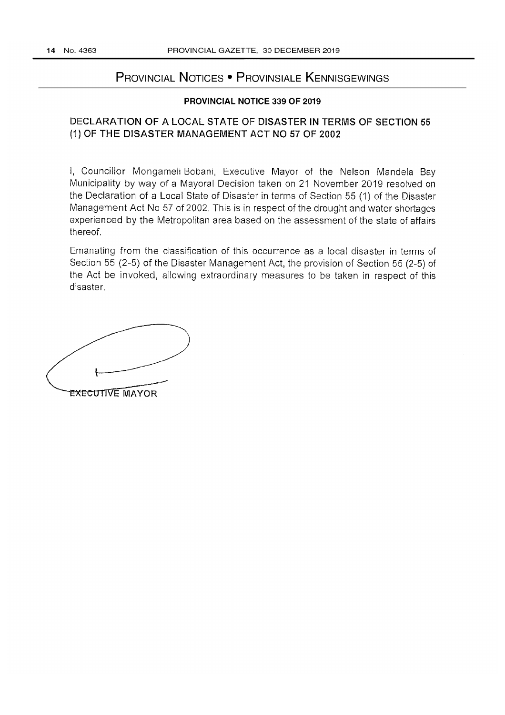## **PROVINCIAL NOTICES • PROVINSIALE KENNISGEWINGS**

### **PROVINCIAL NOTICE 339 OF 2019**

## **DECLARATION OF A LOCAL STATE OF DISASTER IN TERMS OF SECTION 55 (1) OF THE DISASTER MANAGEMENT ACT NO 57 OF 2002**

I, Councillor Mongameli Bobani, Executive Mayor of the Nelson Mandela Bay Municipality by way of a Mayoral Decision taken on 2'1 November 2019 resolved on the Declaration of a Local State of Disaster in terms of Section 55 (1) of the Disaster Management Act No 57 of 2002. This is in respect of the drought and water shortages experienced by the Metropolitan area based on the assessment of the state of affairs thereof.

Emanating from the classification of this occurrence as a local disaster in terms of Section 55 (2-5) of the Disaster Management Act, the provision of Section 55 (2-5) of the Act be invoked, allowing extraordinary measures to be taken in respect of this disaster.

**EXECUTIVE MAYOR**